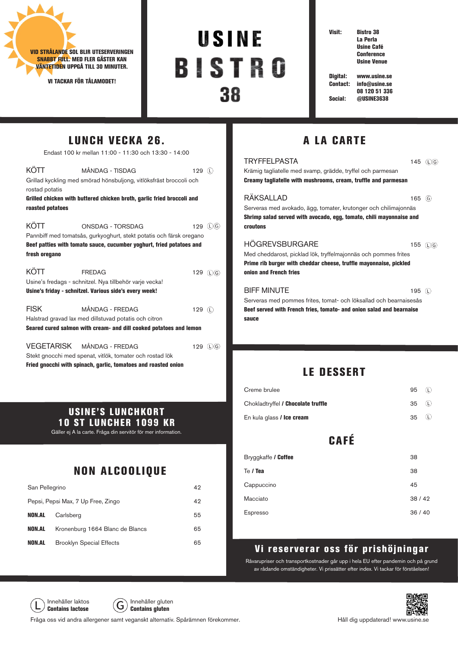

rostad potatis

roasted potatoes

fresh oregano

VI TACKAR FÖR TÅLAMODET!

LUNCH VECKA 26. Endast 100 kr mellan 11:00 - 11:30 och 13:30 - 14:00

KÖTT MÅNDAG - TISDAG 129 (D Grillad kyckling med smörad hönsbuljong, vitlöksfräst broccoli och

KÖTT ONSDAG - TORSDAG 129 (D) Pannbiff med tomatsås, gurkyoghurt, stekt potatis och färsk oregano Beef patties with tomato sauce, cucumber yoghurt, fried potatoes and

KÖTT FREDAG 129 (D) G)

FISK MÅNDAG - FREDAG 129 D

Usine's fredags - schnitzel. Nya tillbehör varje vecka! Usine's friday - schnitzel. Various side's every week!

Halstrad gravad lax med dillstuvad potatis och citron

Stekt gnocchi med spenat, vitlök, tomater och rostad lök

Grilled chicken with buttered chicken broth, garlic fried broccoli and

# USINE **BISTRO** 38

Visit: Bistro 38 La Perla Usine Café

**Conference** Usine Venue

Digital: www.usine.se Contact: info@usine.se 08 120 51 336 Social: @USINE3638

## A LA CARTE

| <b>TRYFFELPASTA</b>                                                  | 145       | $(L)$ $G$ |
|----------------------------------------------------------------------|-----------|-----------|
| Krämig tagliatelle med svamp, grädde, tryffel och parmesan           |           |           |
| Creamy tagliatelle with mushrooms, cream, truffle and parmesan       |           |           |
| RÄKSALLAD                                                            | 165 $(G)$ |           |
| Serveras med avokado, ägg, tomater, krutonger och chilimajonnäs      |           |           |
| Shrimp salad served with avocado, egg, tomato, chili mayonnaise and  |           |           |
| <b>croutons</b>                                                      |           |           |
| <b>HÖGREVSBURGARE</b>                                                | 155 (L) G |           |
| Med cheddarost, picklad lök, tryffelmajonnäs och pommes frites       |           |           |
| Prime rib burger with cheddar cheese, truffle mayonnaise, pickled    |           |           |
| onion and French fries                                               |           |           |
| <b>BIFF MINUTE</b>                                                   | 195 $(C)$ |           |
| Serveras med pommes frites, tomat- och löksallad och bearnaisesås    |           |           |
| Beef served with French fries, tomato- and onion salad and bearnaise |           |           |
| sauce                                                                |           |           |

#### LE DESSERT

| Creme brulee                       | 95    | (L) |
|------------------------------------|-------|-----|
| Chokladtryffel / Chocolate truffle | 35    | ധ   |
| En kula glass / Ice cream          | 35    | ധ   |
| <b>CAFÉ</b>                        |       |     |
| Bryggkaffe / Coffee                | 38    |     |
| Te / Tea                           | 38    |     |
| Cappuccino                         | 45    |     |
| Macciato                           | 38/42 |     |
| <b>Espresso</b>                    | 36/40 |     |

#### Vi reserverar oss för prishöjningar

Råvarupriser och transportkostnader går upp i hela EU efter pandemin och på grund av rådande omständigheter. Vi prissätter efter index. Vi tackar för förståelsen!

Innehåller laktos  $\widehat{G}$  Innehåller gluten Contains lactose  $\bigcup$  Contains gluten

Fråga oss vid andra allergener samt veganskt alternativ. Spårämnen förekommer.



10 ST LUNCHER 1099 KR Gäller ej A la carte. Fråga din servitör för mer information.

# NON ALCOOLIQUE

USINE'S LUNCHKORT

| San Pellegrino                     |                                 | 42 |
|------------------------------------|---------------------------------|----|
| Pepsi, Pepsi Max, 7 Up Free, Zingo |                                 | 42 |
| <b>NON.AL</b>                      | Carlsberg                       | 55 |
| NON.AL                             | Kronenburg 1664 Blanc de Blancs | 65 |
| <b>NON.AL</b>                      | <b>Brooklyn Special Effects</b> | 65 |

Fried gnocchi with spinach, garlic, tomatoes and roasted onion

Seared cured salmon with cream- and dill cooked potatoes and lemon VEGETARISK MÅNDAG - FREDAG 129 (D)